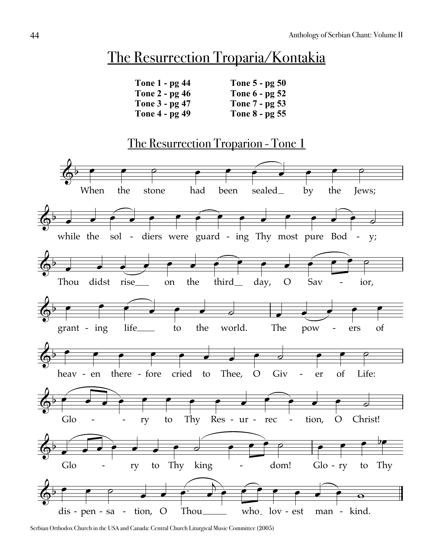## The Resurrection Troparia/Kontakia

| Tone 1 - pg 44 | Tone 5 - pg 50 |
|----------------|----------------|
| Tone 2 - pg 46 | Tone 6 - pg 52 |
| Tone 3 - pg 47 | Tone 7 - pg 53 |
| Tone 4 - pg 49 | Tone 8 - pg 55 |
|                |                |

## The Resurrection Troparion - Tone 1  $\overline{\mathbb{Q}^{\flat}}$ When  $\overline{\phantom{0}}$ the  $\overline{\bullet}$ stone  $\overline{\rho}$ had  $\overline{\bullet}$ been  $\overline{\bullet}$ sealed  $\begin{array}{c} \begin{array}{|c} \hline \hline \hline \hline \hline \hline \hline \end{array} \end{array}$ by  $\overline{\bullet}$ the  $\overline{\bullet}$ Jews;  $\overline{\rho}$ while the  $\overline{\phantom{a}}$ sol  $\begin{array}{c} \begin{array}{c} \hline \hline \hline \hline \hline \hline \hline \end{array} \end{array}$ - diers were guard - ing Thy most pure Bod  $\overline{\bullet}$  $\overline{\phantom{a}}$  $\bigodot$  $\overline{\bullet}$  $\overline{\phantom{a}}$  $\overline{\phantom{0}}$  $\overline{\bullet}$  $\overrightarrow{ }$ y;  $\frac{1}{2}$ -



Serbian Orthodox Church in the USA and Canada: Central Church Liturgical Music Committee (2005)

 $\overline{\mathbb{Q}}^{\flat}$ 

 $\overline{\phantom{a}}$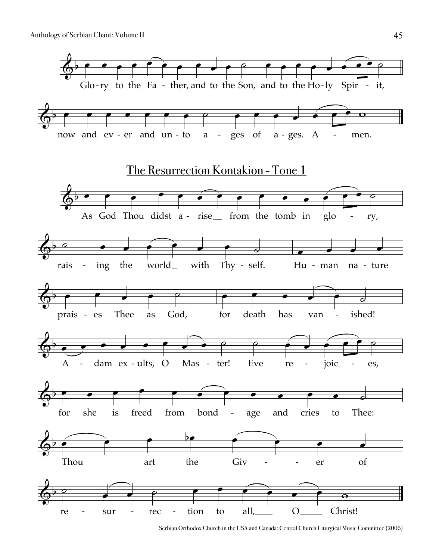

Serbian Orthodox Church in the USA and Canada: Central Church Liturgical Music Committee (2005)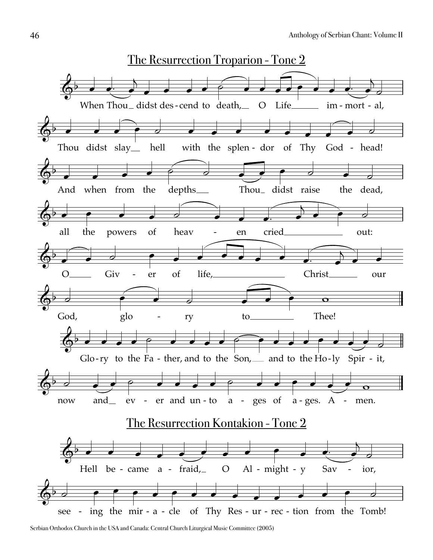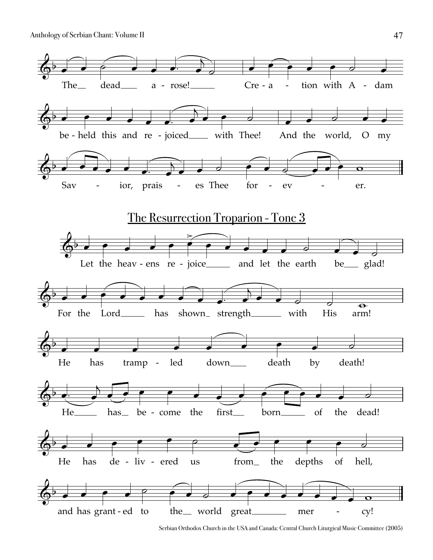Anthology of Serbian Chant: Volume II



Serbian Orthodox Church in the USA and Canada: Central Church Liturgical Music Committee (2005)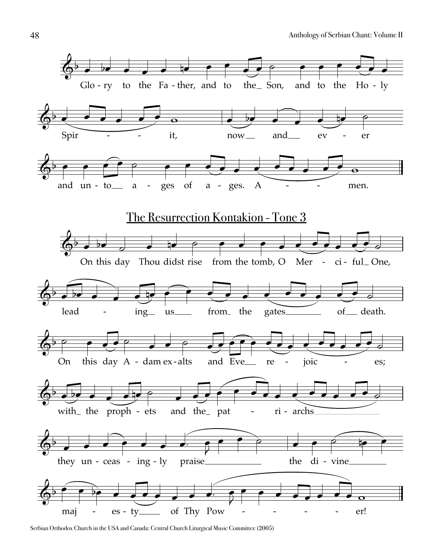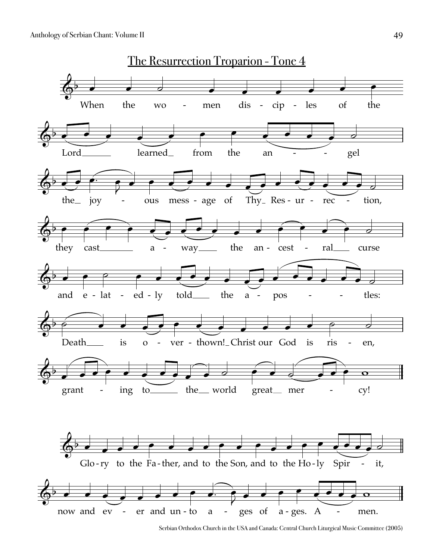

Serbian Orthodox Church in the USA and Canada: Central Church Liturgical Music Committee (2005)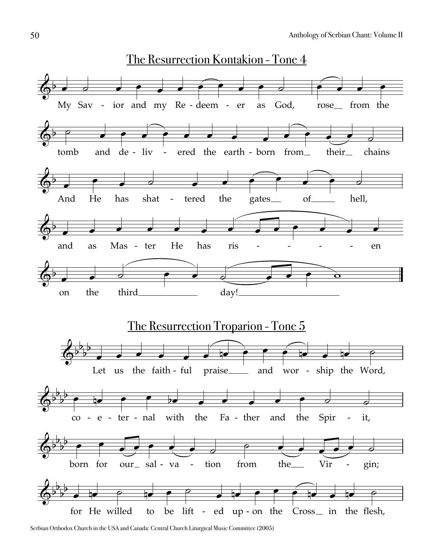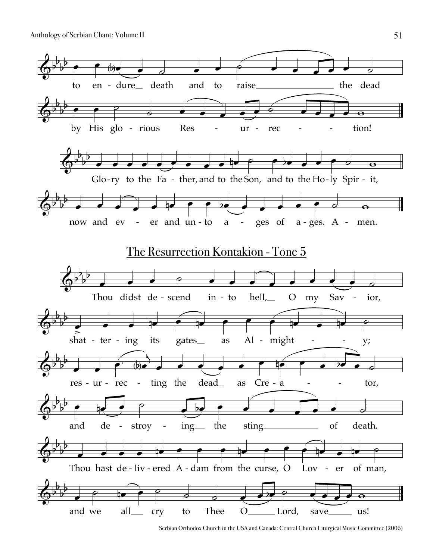

Serbian Orthodox Church in the USA and Canada: Central Church Liturgical Music Committee (2005)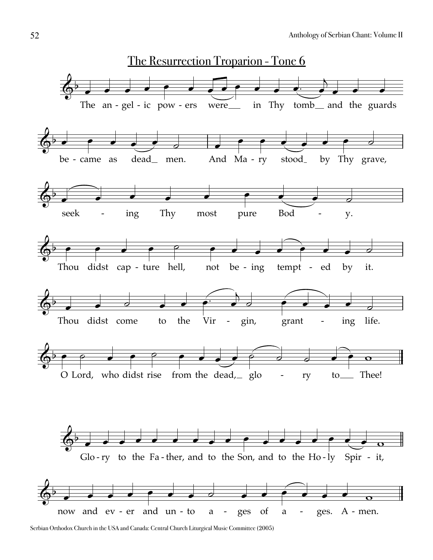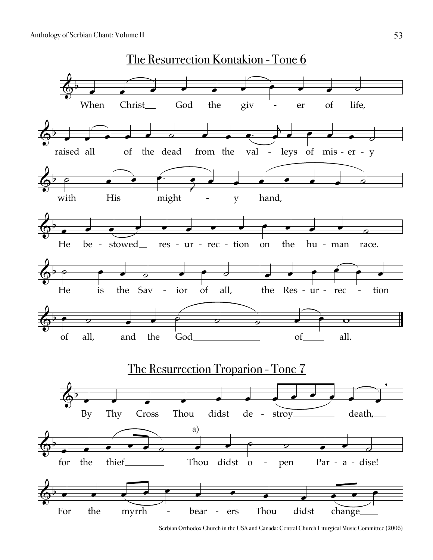

Serbian Orthodox Church in the USA and Canada: Central Church Liturgical Music Committee (2005)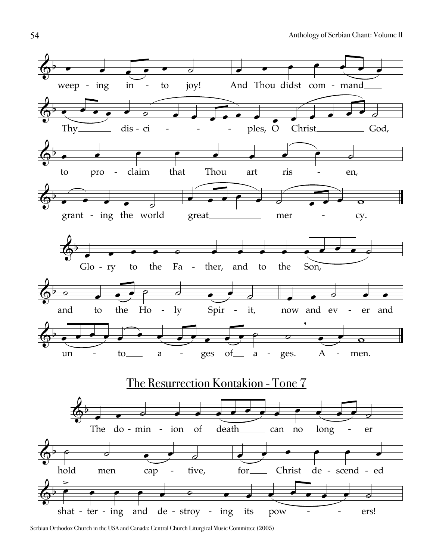

Serbian Orthodox Church in the USA and Canada: Central Church Liturgical Music Committee (2005)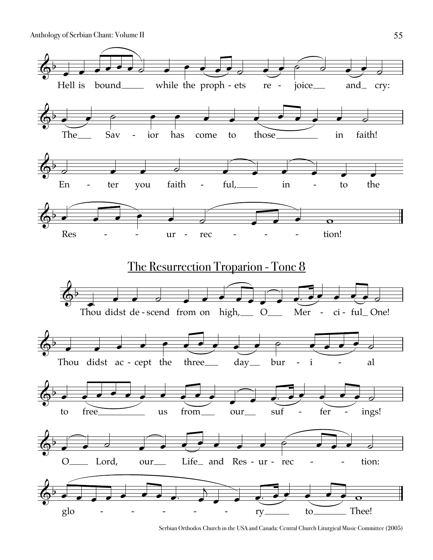Anthology of Serbian Chant: Volume II



Serbian Orthodox Church in the USA and Canada: Central Church Liturgical Music Committee (2005)